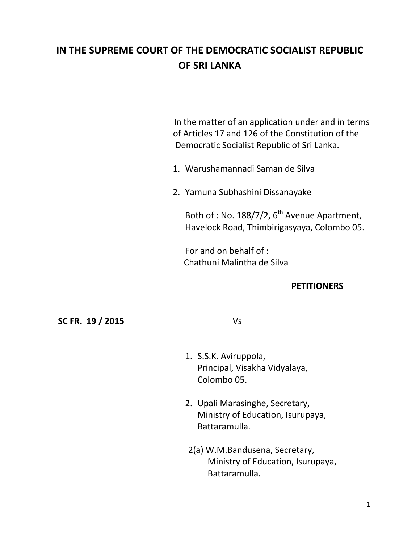# **IN THE SUPREME COURT OF THE DEMOCRATIC SOCIALIST REPUBLIC OF SRI LANKA**

 In the matter of an application under and in terms of Articles 17 and 126 of the Constitution of the Democratic Socialist Republic of Sri Lanka.

- 1. Warushamannadi Saman de Silva
- 2. Yamuna Subhashini Dissanayake

Both of : No. 188/7/2,  $6^{th}$  Avenue Apartment, Havelock Road, Thimbirigasyaya, Colombo 05.

For and on behalf of : Chathuni Malintha de Silva

### **PETITIONERS**

#### **SC FR. 19 / 2015** Vs

- 1. S.S.K. Aviruppola, Principal, Visakha Vidyalaya, Colombo 05.
- 2. Upali Marasinghe, Secretary, Ministry of Education, Isurupaya, Battaramulla.
- 2(a) W.M.Bandusena, Secretary, Ministry of Education, Isurupaya, Battaramulla.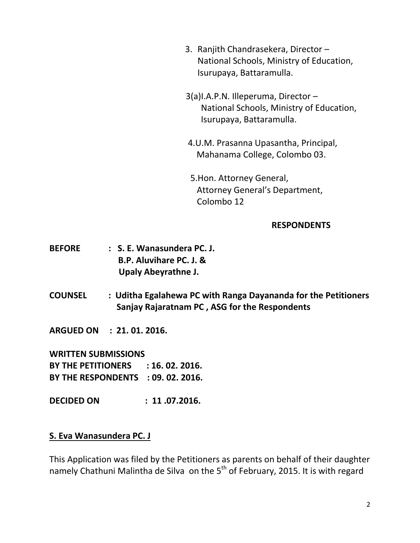- 3. Ranjith Chandrasekera, Director National Schools, Ministry of Education, Isurupaya, Battaramulla.
- 3(a)I.A.P.N. Illeperuma, Director National Schools, Ministry of Education, Isurupaya, Battaramulla.
- 4.U.M. Prasanna Upasantha, Principal, Mahanama College, Colombo 03.
- 5.Hon. Attorney General, Attorney General's Department, Colombo 12

## **RESPONDENTS**

- **BEFORE : S. E. Wanasundera PC. J. B.P. Aluvihare PC. J. & Upaly Abeyrathne J.**
- **COUNSEL : Uditha Egalahewa PC with Ranga Dayananda for the Petitioners Sanjay Rajaratnam PC , ASG for the Respondents**
- **ARGUED ON : 21. 01. 2016.**

**WRITTEN SUBMISSIONS BY THE PETITIONERS : 16. 02. 2016. BY THE RESPONDENTS : 09. 02. 2016.**

**DECIDED ON : 11 .07.2016.**

## **S. Eva Wanasundera PC. J**

This Application was filed by the Petitioners as parents on behalf of their daughter namely Chathuni Malintha de Silva on the  $5<sup>th</sup>$  of February, 2015. It is with regard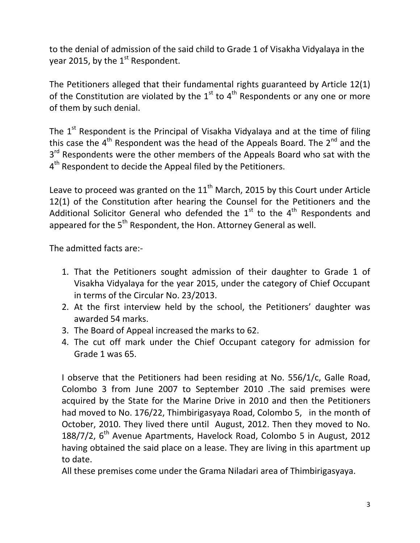to the denial of admission of the said child to Grade 1 of Visakha Vidyalaya in the year 2015, by the  $1<sup>st</sup>$  Respondent.

The Petitioners alleged that their fundamental rights guaranteed by Article 12(1) of the Constitution are violated by the  $1<sup>st</sup>$  to  $4<sup>th</sup>$  Respondents or any one or more of them by such denial.

The  $1<sup>st</sup>$  Respondent is the Principal of Visakha Vidyalaya and at the time of filing this case the  $4<sup>th</sup>$  Respondent was the head of the Appeals Board. The 2<sup>nd</sup> and the 3<sup>rd</sup> Respondents were the other members of the Appeals Board who sat with the 4<sup>th</sup> Respondent to decide the Appeal filed by the Petitioners.

Leave to proceed was granted on the  $11<sup>th</sup>$  March, 2015 by this Court under Article 12(1) of the Constitution after hearing the Counsel for the Petitioners and the Additional Solicitor General who defended the  $1<sup>st</sup>$  to the  $4<sup>th</sup>$  Respondents and appeared for the  $5<sup>th</sup>$  Respondent, the Hon. Attorney General as well.

The admitted facts are:-

- 1. That the Petitioners sought admission of their daughter to Grade 1 of Visakha Vidyalaya for the year 2015, under the category of Chief Occupant in terms of the Circular No. 23/2013.
- 2. At the first interview held by the school, the Petitioners' daughter was awarded 54 marks.
- 3. The Board of Appeal increased the marks to 62.
- 4. The cut off mark under the Chief Occupant category for admission for Grade 1 was 65.

I observe that the Petitioners had been residing at No. 556/1/c, Galle Road, Colombo 3 from June 2007 to September 2010 .The said premises were acquired by the State for the Marine Drive in 2010 and then the Petitioners had moved to No. 176/22, Thimbirigasyaya Road, Colombo 5, in the month of October, 2010. They lived there until August, 2012. Then they moved to No. 188/7/2, 6<sup>th</sup> Avenue Apartments, Havelock Road, Colombo 5 in August, 2012 having obtained the said place on a lease. They are living in this apartment up to date.

All these premises come under the Grama Niladari area of Thimbirigasyaya.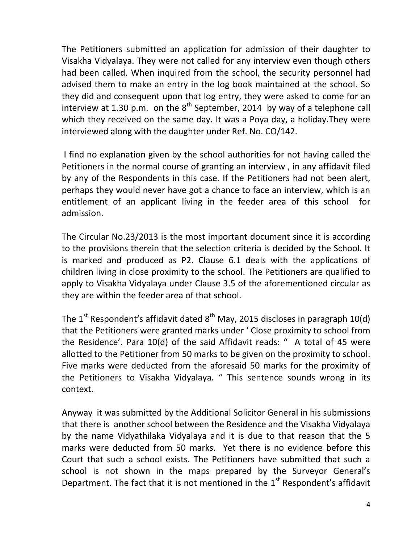The Petitioners submitted an application for admission of their daughter to Visakha Vidyalaya. They were not called for any interview even though others had been called. When inquired from the school, the security personnel had advised them to make an entry in the log book maintained at the school. So they did and consequent upon that log entry, they were asked to come for an interview at 1.30 p.m. on the  $8<sup>th</sup>$  September, 2014 by way of a telephone call which they received on the same day. It was a Poya day, a holiday.They were interviewed along with the daughter under Ref. No. CO/142.

I find no explanation given by the school authorities for not having called the Petitioners in the normal course of granting an interview , in any affidavit filed by any of the Respondents in this case. If the Petitioners had not been alert, perhaps they would never have got a chance to face an interview, which is an entitlement of an applicant living in the feeder area of this school for admission.

The Circular No.23/2013 is the most important document since it is according to the provisions therein that the selection criteria is decided by the School. It is marked and produced as P2. Clause 6.1 deals with the applications of children living in close proximity to the school. The Petitioners are qualified to apply to Visakha Vidyalaya under Clause 3.5 of the aforementioned circular as they are within the feeder area of that school.

The 1<sup>st</sup> Respondent's affidavit dated  $8<sup>th</sup>$  May, 2015 discloses in paragraph 10(d) that the Petitioners were granted marks under ' Close proximity to school from the Residence'. Para 10(d) of the said Affidavit reads: " A total of 45 were allotted to the Petitioner from 50 marks to be given on the proximity to school. Five marks were deducted from the aforesaid 50 marks for the proximity of the Petitioners to Visakha Vidyalaya. " This sentence sounds wrong in its context.

Anyway it was submitted by the Additional Solicitor General in his submissions that there is another school between the Residence and the Visakha Vidyalaya by the name Vidyathilaka Vidyalaya and it is due to that reason that the 5 marks were deducted from 50 marks. Yet there is no evidence before this Court that such a school exists. The Petitioners have submitted that such a school is not shown in the maps prepared by the Surveyor General's Department. The fact that it is not mentioned in the  $1<sup>st</sup>$  Respondent's affidavit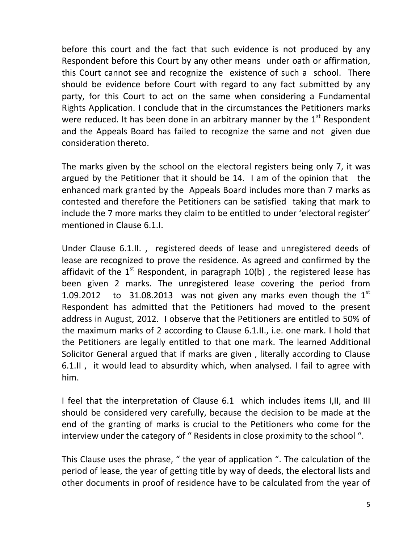before this court and the fact that such evidence is not produced by any Respondent before this Court by any other means under oath or affirmation, this Court cannot see and recognize the existence of such a school. There should be evidence before Court with regard to any fact submitted by any party, for this Court to act on the same when considering a Fundamental Rights Application. I conclude that in the circumstances the Petitioners marks were reduced. It has been done in an arbitrary manner by the  $1<sup>st</sup>$  Respondent and the Appeals Board has failed to recognize the same and not given due consideration thereto.

The marks given by the school on the electoral registers being only 7, it was argued by the Petitioner that it should be 14. I am of the opinion that the enhanced mark granted by the Appeals Board includes more than 7 marks as contested and therefore the Petitioners can be satisfied taking that mark to include the 7 more marks they claim to be entitled to under 'electoral register' mentioned in Clause 6.1.I.

Under Clause 6.1.II. , registered deeds of lease and unregistered deeds of lease are recognized to prove the residence. As agreed and confirmed by the affidavit of the  $1^{st}$  Respondent, in paragraph  $10(b)$ , the registered lease has been given 2 marks. The unregistered lease covering the period from 1.09.2012 to 31.08.2013 was not given any marks even though the  $1<sup>st</sup>$ Respondent has admitted that the Petitioners had moved to the present address in August, 2012. I observe that the Petitioners are entitled to 50% of the maximum marks of 2 according to Clause 6.1.II., i.e. one mark. I hold that the Petitioners are legally entitled to that one mark. The learned Additional Solicitor General argued that if marks are given , literally according to Clause 6.1.II , it would lead to absurdity which, when analysed. I fail to agree with him.

I feel that the interpretation of Clause 6.1 which includes items I,II, and III should be considered very carefully, because the decision to be made at the end of the granting of marks is crucial to the Petitioners who come for the interview under the category of " Residents in close proximity to the school ".

This Clause uses the phrase, " the year of application ". The calculation of the period of lease, the year of getting title by way of deeds, the electoral lists and other documents in proof of residence have to be calculated from the year of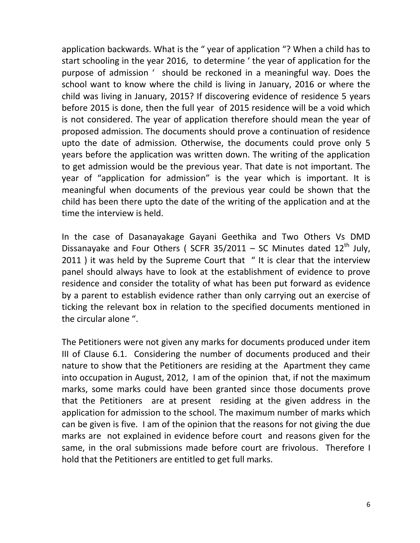application backwards. What is the " year of application "? When a child has to start schooling in the year 2016, to determine ' the year of application for the purpose of admission ' should be reckoned in a meaningful way. Does the school want to know where the child is living in January, 2016 or where the child was living in January, 2015? If discovering evidence of residence 5 years before 2015 is done, then the full year of 2015 residence will be a void which is not considered. The year of application therefore should mean the year of proposed admission. The documents should prove a continuation of residence upto the date of admission. Otherwise, the documents could prove only 5 years before the application was written down. The writing of the application to get admission would be the previous year. That date is not important. The year of "application for admission" is the year which is important. It is meaningful when documents of the previous year could be shown that the child has been there upto the date of the writing of the application and at the time the interview is held.

In the case of Dasanayakage Gayani Geethika and Two Others Vs DMD Dissanayake and Four Others ( SCFR 35/2011 – SC Minutes dated  $12<sup>th</sup>$  July, 2011 ) it was held by the Supreme Court that " It is clear that the interview panel should always have to look at the establishment of evidence to prove residence and consider the totality of what has been put forward as evidence by a parent to establish evidence rather than only carrying out an exercise of ticking the relevant box in relation to the specified documents mentioned in the circular alone ".

The Petitioners were not given any marks for documents produced under item III of Clause 6.1. Considering the number of documents produced and their nature to show that the Petitioners are residing at the Apartment they came into occupation in August, 2012, I am of the opinion that, if not the maximum marks, some marks could have been granted since those documents prove that the Petitioners are at present residing at the given address in the application for admission to the school. The maximum number of marks which can be given is five. I am of the opinion that the reasons for not giving the due marks are not explained in evidence before court and reasons given for the same, in the oral submissions made before court are frivolous. Therefore I hold that the Petitioners are entitled to get full marks.